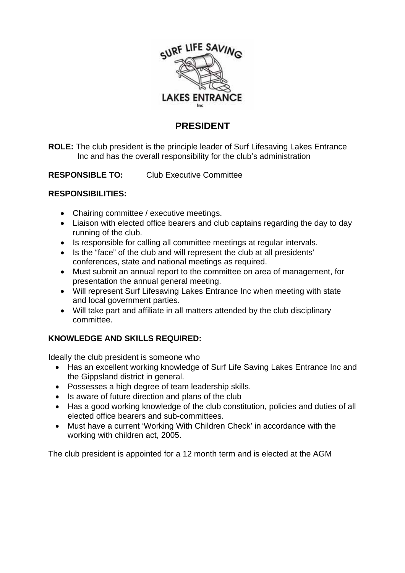

## **PRESIDENT**

**ROLE:** The club president is the principle leader of Surf Lifesaving Lakes Entrance Inc and has the overall responsibility for the club's administration

**RESPONSIBLE TO:** Club Executive Committee

### **RESPONSIBILITIES:**

- Chairing committee / executive meetings.
- Liaison with elected office bearers and club captains regarding the day to day running of the club.
- Is responsible for calling all committee meetings at regular intervals.
- Is the "face" of the club and will represent the club at all presidents' conferences, state and national meetings as required.
- Must submit an annual report to the committee on area of management, for presentation the annual general meeting.
- Will represent Surf Lifesaving Lakes Entrance Inc when meeting with state and local government parties.
- Will take part and affiliate in all matters attended by the club disciplinary committee.

## **KNOWLEDGE AND SKILLS REQUIRED:**

Ideally the club president is someone who

- Has an excellent working knowledge of Surf Life Saving Lakes Entrance Inc and the Gippsland district in general.
- Possesses a high degree of team leadership skills.
- Is aware of future direction and plans of the club
- Has a good working knowledge of the club constitution, policies and duties of all elected office bearers and sub-committees.
- Must have a current 'Working With Children Check' in accordance with the working with children act, 2005.

The club president is appointed for a 12 month term and is elected at the AGM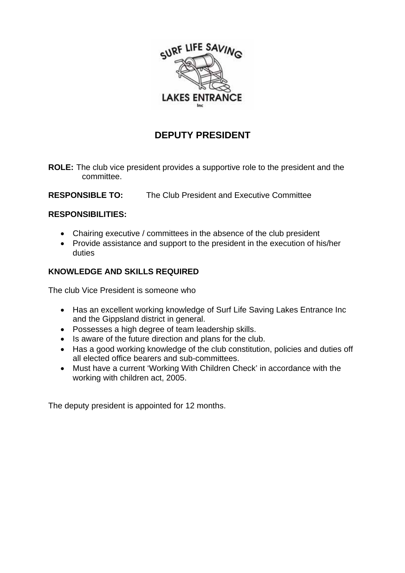

# **DEPUTY PRESIDENT**

- **ROLE:** The club vice president provides a supportive role to the president and the committee.
- **RESPONSIBLE TO:** The Club President and Executive Committee

#### **RESPONSIBILITIES:**

- Chairing executive / committees in the absence of the club president
- Provide assistance and support to the president in the execution of his/her duties

### **KNOWLEDGE AND SKILLS REQUIRED**

The club Vice President is someone who

- Has an excellent working knowledge of Surf Life Saving Lakes Entrance Inc and the Gippsland district in general.
- Possesses a high degree of team leadership skills.
- Is aware of the future direction and plans for the club.
- Has a good working knowledge of the club constitution, policies and duties off all elected office bearers and sub-committees.
- Must have a current 'Working With Children Check' in accordance with the working with children act, 2005.

The deputy president is appointed for 12 months.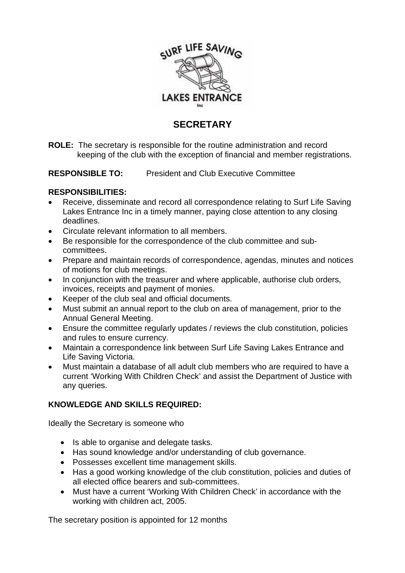

## **SECRETARY**

**ROLE:** The secretary is responsible for the routine administration and record keeping of the club with the exception of financial and member registrations.

**RESPONSIBLE TO:** President and Club Executive Committee

#### **RESPONSIBILITIES:**

- Receive, disseminate and record all correspondence relating to Surf Life Saving Lakes Entrance Inc in a timely manner, paying close attention to any closing deadlines.
- Circulate relevant information to all members.
- Be responsible for the correspondence of the club committee and subcommittees.
- Prepare and maintain records of correspondence, agendas, minutes and notices of motions for club meetings.
- In conjunction with the treasurer and where applicable, authorise club orders, invoices, receipts and payment of monies.
- Keeper of the club seal and official documents.
- Must submit an annual report to the club on area of management, prior to the Annual General Meeting.
- Ensure the committee regularly updates / reviews the club constitution, policies and rules to ensure currency.
- Maintain a correspondence link between Surf Life Saving Lakes Entrance and Life Saving Victoria.
- Must maintain a database of all adult club members who are required to have a current 'Working With Children Check' and assist the Department of Justice with any queries.

### **KNOWLEDGE AND SKILLS REQUIRED:**

Ideally the Secretary is someone who

- Is able to organise and delegate tasks.
- Has sound knowledge and/or understanding of club governance.
- Possesses excellent time management skills.
- Has a good working knowledge of the club constitution, policies and duties of all elected office bearers and sub-committees.
- Must have a current 'Working With Children Check' in accordance with the working with children act, 2005.

The secretary position is appointed for 12 months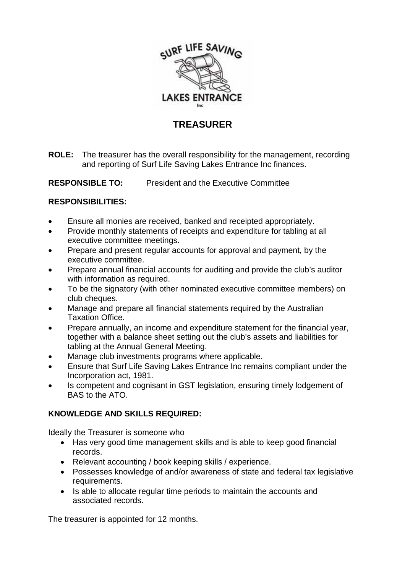

# **TREASURER**

**ROLE:** The treasurer has the overall responsibility for the management, recording and reporting of Surf Life Saving Lakes Entrance Inc finances.

#### **RESPONSIBLE TO:** President and the Executive Committee

#### **RESPONSIBILITIES:**

- Ensure all monies are received, banked and receipted appropriately.
- Provide monthly statements of receipts and expenditure for tabling at all executive committee meetings.
- Prepare and present regular accounts for approval and payment, by the executive committee.
- Prepare annual financial accounts for auditing and provide the club's auditor with information as required.
- To be the signatory (with other nominated executive committee members) on club cheques.
- Manage and prepare all financial statements required by the Australian Taxation Office.
- Prepare annually, an income and expenditure statement for the financial year, together with a balance sheet setting out the club's assets and liabilities for tabling at the Annual General Meeting.
- Manage club investments programs where applicable.
- Ensure that Surf Life Saving Lakes Entrance Inc remains compliant under the Incorporation act, 1981.
- Is competent and cognisant in GST legislation, ensuring timely lodgement of BAS to the ATO.

### **KNOWLEDGE AND SKILLS REQUIRED:**

Ideally the Treasurer is someone who

- Has very good time management skills and is able to keep good financial records.
- Relevant accounting / book keeping skills / experience.
- Possesses knowledge of and/or awareness of state and federal tax legislative requirements.
- Is able to allocate regular time periods to maintain the accounts and associated records.

The treasurer is appointed for 12 months.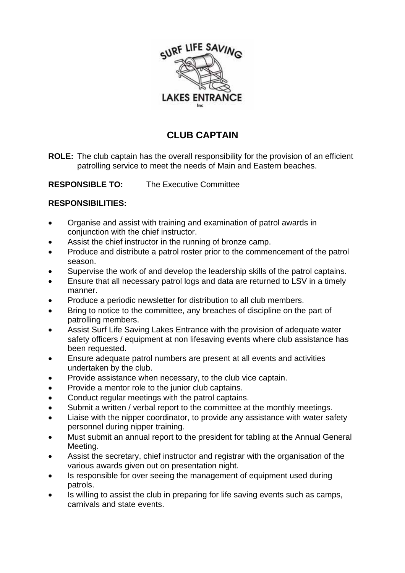

# **CLUB CAPTAIN**

**ROLE:** The club captain has the overall responsibility for the provision of an efficient patrolling service to meet the needs of Main and Eastern beaches.

**RESPONSIBLE TO:** The Executive Committee

#### **RESPONSIBILITIES:**

- Organise and assist with training and examination of patrol awards in conjunction with the chief instructor.
- Assist the chief instructor in the running of bronze camp.
- Produce and distribute a patrol roster prior to the commencement of the patrol season.
- Supervise the work of and develop the leadership skills of the patrol captains.
- Ensure that all necessary patrol logs and data are returned to LSV in a timely manner.
- Produce a periodic newsletter for distribution to all club members.
- Bring to notice to the committee, any breaches of discipline on the part of patrolling members.
- Assist Surf Life Saving Lakes Entrance with the provision of adequate water safety officers / equipment at non lifesaving events where club assistance has been requested.
- Ensure adequate patrol numbers are present at all events and activities undertaken by the club.
- Provide assistance when necessary, to the club vice captain.
- Provide a mentor role to the junior club captains.
- Conduct regular meetings with the patrol captains.
- Submit a written / verbal report to the committee at the monthly meetings.
- Liaise with the nipper coordinator, to provide any assistance with water safety personnel during nipper training.
- Must submit an annual report to the president for tabling at the Annual General Meeting.
- Assist the secretary, chief instructor and registrar with the organisation of the various awards given out on presentation night.
- Is responsible for over seeing the management of equipment used during patrols.
- Is willing to assist the club in preparing for life saving events such as camps, carnivals and state events.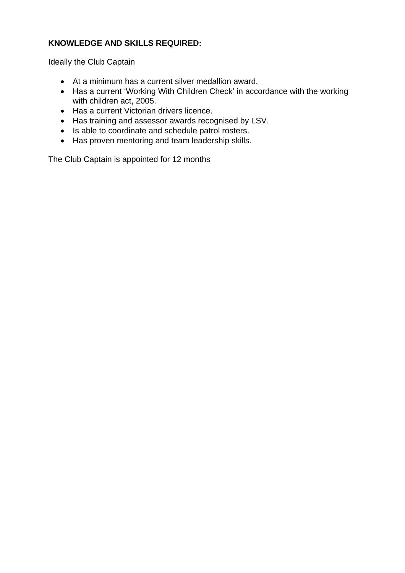### **KNOWLEDGE AND SKILLS REQUIRED:**

Ideally the Club Captain

- At a minimum has a current silver medallion award.
- Has a current 'Working With Children Check' in accordance with the working with children act, 2005.
- Has a current Victorian drivers licence.
- Has training and assessor awards recognised by LSV.
- Is able to coordinate and schedule patrol rosters.
- Has proven mentoring and team leadership skills.

The Club Captain is appointed for 12 months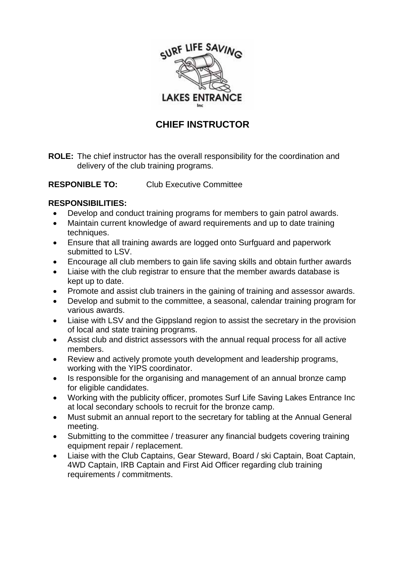

# **CHIEF INSTRUCTOR**

**ROLE:** The chief instructor has the overall responsibility for the coordination and delivery of the club training programs.

**RESPONIBLE TO:** Club Executive Committee

#### **RESPONSIBILITIES:**

- Develop and conduct training programs for members to gain patrol awards.
- Maintain current knowledge of award requirements and up to date training techniques.
- Ensure that all training awards are logged onto Surfguard and paperwork submitted to LSV.
- Encourage all club members to gain life saving skills and obtain further awards
- Liaise with the club registrar to ensure that the member awards database is kept up to date.
- Promote and assist club trainers in the gaining of training and assessor awards.
- Develop and submit to the committee, a seasonal, calendar training program for various awards.
- Liaise with LSV and the Gippsland region to assist the secretary in the provision of local and state training programs.
- Assist club and district assessors with the annual requal process for all active members.
- Review and actively promote youth development and leadership programs, working with the YIPS coordinator.
- Is responsible for the organising and management of an annual bronze camp for eligible candidates.
- Working with the publicity officer, promotes Surf Life Saving Lakes Entrance Inc at local secondary schools to recruit for the bronze camp.
- Must submit an annual report to the secretary for tabling at the Annual General meeting.
- Submitting to the committee / treasurer any financial budgets covering training equipment repair / replacement.
- Liaise with the Club Captains, Gear Steward, Board / ski Captain, Boat Captain, 4WD Captain, IRB Captain and First Aid Officer regarding club training requirements / commitments.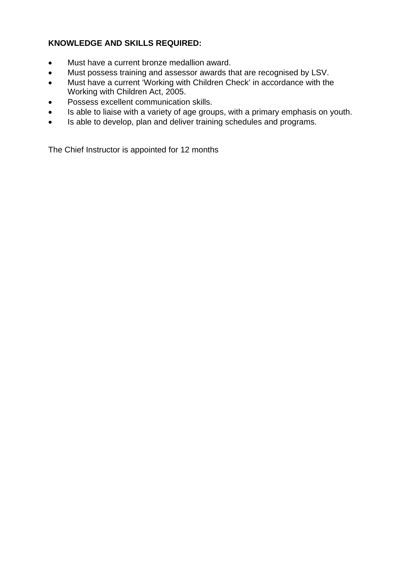### **KNOWLEDGE AND SKILLS REQUIRED:**

- Must have a current bronze medallion award.
- Must possess training and assessor awards that are recognised by LSV.
- Must have a current 'Working with Children Check' in accordance with the Working with Children Act, 2005.
- Possess excellent communication skills.
- Is able to liaise with a variety of age groups, with a primary emphasis on youth.
- Is able to develop, plan and deliver training schedules and programs.

The Chief Instructor is appointed for 12 months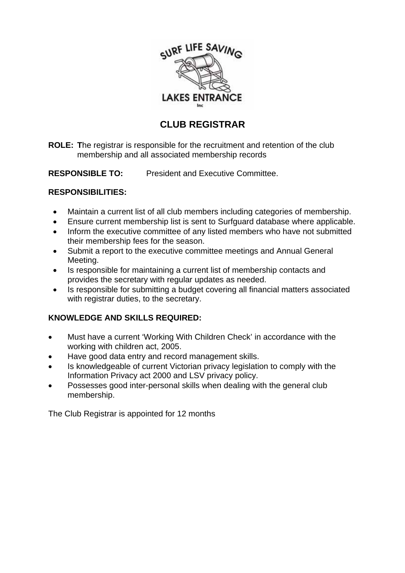

# **CLUB REGISTRAR**

**ROLE: T**he registrar is responsible for the recruitment and retention of the club membership and all associated membership records

**RESPONSIBLE TO:** President and Executive Committee.

### **RESPONSIBILITIES:**

- Maintain a current list of all club members including categories of membership.
- Ensure current membership list is sent to Surfguard database where applicable.
- Inform the executive committee of any listed members who have not submitted their membership fees for the season.
- Submit a report to the executive committee meetings and Annual General Meeting.
- Is responsible for maintaining a current list of membership contacts and provides the secretary with regular updates as needed.
- Is responsible for submitting a budget covering all financial matters associated with registrar duties, to the secretary.

## **KNOWLEDGE AND SKILLS REQUIRED:**

- Must have a current 'Working With Children Check' in accordance with the working with children act, 2005.
- Have good data entry and record management skills.
- Is knowledgeable of current Victorian privacy legislation to comply with the Information Privacy act 2000 and LSV privacy policy.
- Possesses good inter-personal skills when dealing with the general club membership.

The Club Registrar is appointed for 12 months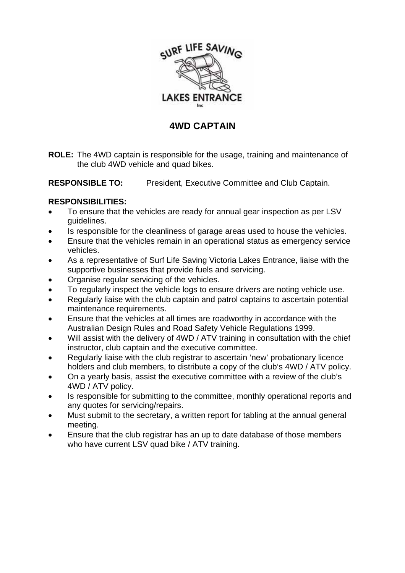

## **4WD CAPTAIN**

**ROLE:** The 4WD captain is responsible for the usage, training and maintenance of the club 4WD vehicle and quad bikes.

**RESPONSIBLE TO:** President, Executive Committee and Club Captain.

#### **RESPONSIBILITIES:**

- To ensure that the vehicles are ready for annual gear inspection as per LSV guidelines.
- Is responsible for the cleanliness of garage areas used to house the vehicles.
- Ensure that the vehicles remain in an operational status as emergency service vehicles.
- As a representative of Surf Life Saving Victoria Lakes Entrance, liaise with the supportive businesses that provide fuels and servicing.
- Organise regular servicing of the vehicles.
- To regularly inspect the vehicle logs to ensure drivers are noting vehicle use.
- Regularly liaise with the club captain and patrol captains to ascertain potential maintenance requirements.
- Ensure that the vehicles at all times are roadworthy in accordance with the Australian Design Rules and Road Safety Vehicle Regulations 1999.
- Will assist with the delivery of 4WD / ATV training in consultation with the chief instructor, club captain and the executive committee.
- Regularly liaise with the club registrar to ascertain 'new' probationary licence holders and club members, to distribute a copy of the club's 4WD / ATV policy.
- On a yearly basis, assist the executive committee with a review of the club's 4WD / ATV policy.
- Is responsible for submitting to the committee, monthly operational reports and any quotes for servicing/repairs.
- Must submit to the secretary, a written report for tabling at the annual general meeting.
- Ensure that the club registrar has an up to date database of those members who have current LSV quad bike / ATV training.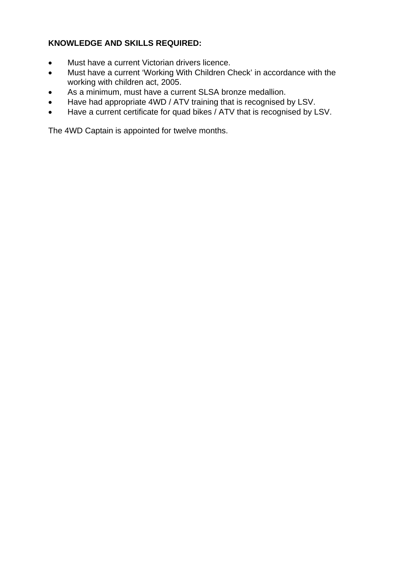### **KNOWLEDGE AND SKILLS REQUIRED:**

- Must have a current Victorian drivers licence.
- Must have a current 'Working With Children Check' in accordance with the working with children act, 2005.
- As a minimum, must have a current SLSA bronze medallion.
- Have had appropriate 4WD / ATV training that is recognised by LSV.
- Have a current certificate for quad bikes / ATV that is recognised by LSV.

The 4WD Captain is appointed for twelve months.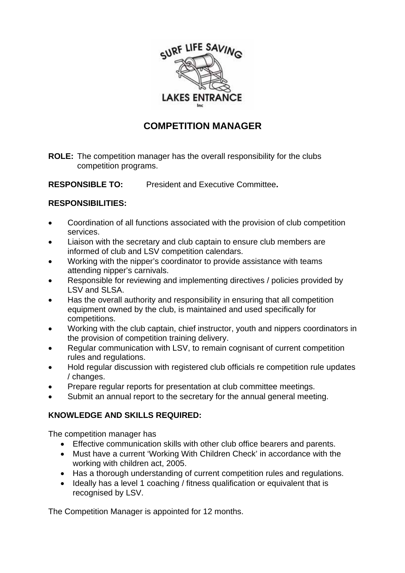

# **COMPETITION MANAGER**

**ROLE:** The competition manager has the overall responsibility for the clubs competition programs.

**RESPONSIBLE TO:** President and Executive Committee**.** 

#### **RESPONSIBILITIES:**

- Coordination of all functions associated with the provision of club competition services.
- Liaison with the secretary and club captain to ensure club members are informed of club and LSV competition calendars.
- Working with the nipper's coordinator to provide assistance with teams attending nipper's carnivals.
- Responsible for reviewing and implementing directives / policies provided by LSV and SLSA.
- Has the overall authority and responsibility in ensuring that all competition equipment owned by the club, is maintained and used specifically for competitions.
- Working with the club captain, chief instructor, youth and nippers coordinators in the provision of competition training delivery.
- Regular communication with LSV, to remain cognisant of current competition rules and regulations.
- Hold regular discussion with registered club officials re competition rule updates / changes.
- Prepare regular reports for presentation at club committee meetings.
- Submit an annual report to the secretary for the annual general meeting.

### **KNOWLEDGE AND SKILLS REQUIRED:**

The competition manager has

- Effective communication skills with other club office bearers and parents.
- Must have a current 'Working With Children Check' in accordance with the working with children act, 2005.
- Has a thorough understanding of current competition rules and regulations.
- Ideally has a level 1 coaching / fitness qualification or equivalent that is recognised by LSV.

The Competition Manager is appointed for 12 months.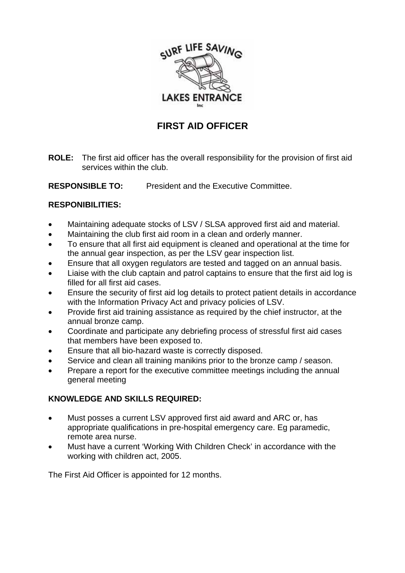

# **FIRST AID OFFICER**

**ROLE:** The first aid officer has the overall responsibility for the provision of first aid services within the club.

**RESPONSIBLE TO:** President and the Executive Committee.

### **RESPONIBILITIES:**

- Maintaining adequate stocks of LSV / SLSA approved first aid and material.
- Maintaining the club first aid room in a clean and orderly manner.
- To ensure that all first aid equipment is cleaned and operational at the time for the annual gear inspection, as per the LSV gear inspection list.
- Ensure that all oxygen regulators are tested and tagged on an annual basis.
- Liaise with the club captain and patrol captains to ensure that the first aid log is filled for all first aid cases.
- Ensure the security of first aid log details to protect patient details in accordance with the Information Privacy Act and privacy policies of LSV.
- Provide first aid training assistance as required by the chief instructor, at the annual bronze camp.
- Coordinate and participate any debriefing process of stressful first aid cases that members have been exposed to.
- Ensure that all bio-hazard waste is correctly disposed.
- Service and clean all training manikins prior to the bronze camp / season.
- Prepare a report for the executive committee meetings including the annual general meeting

### **KNOWLEDGE AND SKILLS REQUIRED:**

- Must posses a current LSV approved first aid award and ARC or, has appropriate qualifications in pre-hospital emergency care. Eg paramedic, remote area nurse.
- Must have a current 'Working With Children Check' in accordance with the working with children act, 2005.

The First Aid Officer is appointed for 12 months.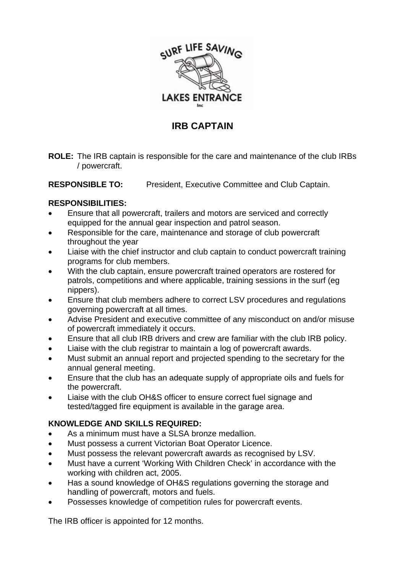

## **IRB CAPTAIN**

**ROLE:** The IRB captain is responsible for the care and maintenance of the club IRBs / powercraft.

**RESPONSIBLE TO:** President, Executive Committee and Club Captain.

### **RESPONSIBILITIES:**

- Ensure that all powercraft, trailers and motors are serviced and correctly equipped for the annual gear inspection and patrol season.
- Responsible for the care, maintenance and storage of club powercraft throughout the year
- Liaise with the chief instructor and club captain to conduct powercraft training programs for club members.
- With the club captain, ensure powercraft trained operators are rostered for patrols, competitions and where applicable, training sessions in the surf (eg nippers).
- Ensure that club members adhere to correct LSV procedures and regulations governing powercraft at all times.
- Advise President and executive committee of any misconduct on and/or misuse of powercraft immediately it occurs.
- Ensure that all club IRB drivers and crew are familiar with the club IRB policy.
- Liaise with the club registrar to maintain a log of powercraft awards.
- Must submit an annual report and projected spending to the secretary for the annual general meeting.
- Ensure that the club has an adequate supply of appropriate oils and fuels for the powercraft.
- Liaise with the club OH&S officer to ensure correct fuel signage and tested/tagged fire equipment is available in the garage area.

## **KNOWLEDGE AND SKILLS REQUIRED:**

- As a minimum must have a SLSA bronze medallion.
- Must possess a current Victorian Boat Operator Licence.
- Must possess the relevant powercraft awards as recognised by LSV.
- Must have a current 'Working With Children Check' in accordance with the working with children act, 2005.
- Has a sound knowledge of OH&S regulations governing the storage and handling of powercraft, motors and fuels.
- Possesses knowledge of competition rules for powercraft events.

The IRB officer is appointed for 12 months.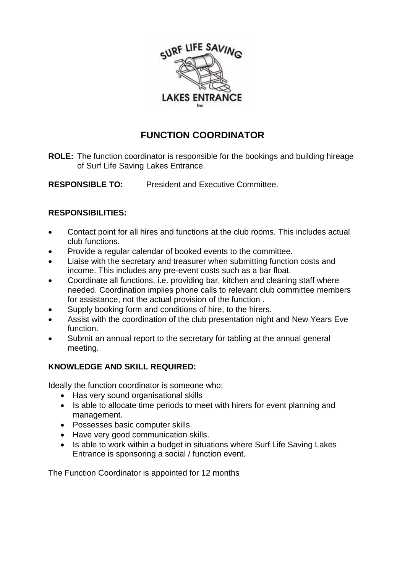

# **FUNCTION COORDINATOR**

**ROLE:** The function coordinator is responsible for the bookings and building hireage of Surf Life Saving Lakes Entrance.

**RESPONSIBLE TO:** President and Executive Committee.

### **RESPONSIBILITIES:**

- Contact point for all hires and functions at the club rooms. This includes actual club functions.
- Provide a regular calendar of booked events to the committee.
- Liaise with the secretary and treasurer when submitting function costs and income. This includes any pre-event costs such as a bar float.
- Coordinate all functions, i.e. providing bar, kitchen and cleaning staff where needed. Coordination implies phone calls to relevant club committee members for assistance, not the actual provision of the function .
- Supply booking form and conditions of hire, to the hirers.
- Assist with the coordination of the club presentation night and New Years Eve function.
- Submit an annual report to the secretary for tabling at the annual general meeting.

## **KNOWLEDGE AND SKILL REQUIRED:**

Ideally the function coordinator is someone who;

- Has very sound organisational skills
- Is able to allocate time periods to meet with hirers for event planning and management.
- Possesses basic computer skills.
- Have very good communication skills.
- Is able to work within a budget in situations where Surf Life Saving Lakes Entrance is sponsoring a social / function event.

The Function Coordinator is appointed for 12 months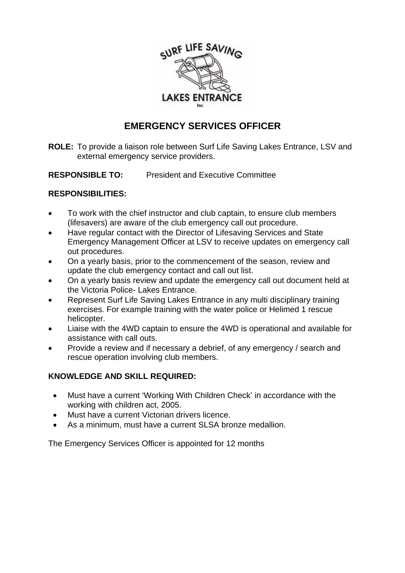

# **EMERGENCY SERVICES OFFICER**

**ROLE:** To provide a liaison role between Surf Life Saving Lakes Entrance, LSV and external emergency service providers.

**RESPONSIBLE TO:** President and Executive Committee

### **RESPONSIBILITIES:**

- To work with the chief instructor and club captain, to ensure club members (lifesavers) are aware of the club emergency call out procedure.
- Have regular contact with the Director of Lifesaving Services and State Emergency Management Officer at LSV to receive updates on emergency call out procedures.
- On a yearly basis, prior to the commencement of the season, review and update the club emergency contact and call out list.
- On a yearly basis review and update the emergency call out document held at the Victoria Police- Lakes Entrance.
- Represent Surf Life Saving Lakes Entrance in any multi disciplinary training exercises. For example training with the water police or Helimed 1 rescue helicopter.
- Liaise with the 4WD captain to ensure the 4WD is operational and available for assistance with call outs.
- Provide a review and if necessary a debrief, of any emergency / search and rescue operation involving club members.

## **KNOWLEDGE AND SKILL REQUIRED:**

- Must have a current 'Working With Children Check' in accordance with the working with children act, 2005.
- Must have a current Victorian drivers licence.
- As a minimum, must have a current SLSA bronze medallion.

The Emergency Services Officer is appointed for 12 months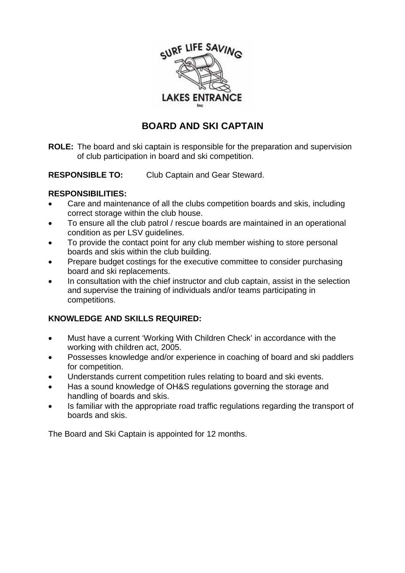

# **BOARD AND SKI CAPTAIN**

**ROLE:** The board and ski captain is responsible for the preparation and supervision of club participation in board and ski competition.

**RESPONSIBLE TO:** Club Captain and Gear Steward.

### **RESPONSIBILITIES:**

- Care and maintenance of all the clubs competition boards and skis, including correct storage within the club house.
- To ensure all the club patrol / rescue boards are maintained in an operational condition as per LSV guidelines.
- To provide the contact point for any club member wishing to store personal boards and skis within the club building.
- Prepare budget costings for the executive committee to consider purchasing board and ski replacements.
- In consultation with the chief instructor and club captain, assist in the selection and supervise the training of individuals and/or teams participating in competitions.

## **KNOWLEDGE AND SKILLS REQUIRED:**

- Must have a current 'Working With Children Check' in accordance with the working with children act, 2005.
- Possesses knowledge and/or experience in coaching of board and ski paddlers for competition.
- Understands current competition rules relating to board and ski events.
- Has a sound knowledge of OH&S regulations governing the storage and handling of boards and skis.
- Is familiar with the appropriate road traffic regulations regarding the transport of boards and skis.

The Board and Ski Captain is appointed for 12 months.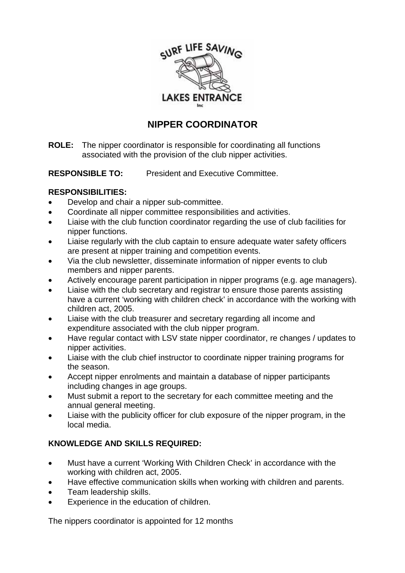

# **NIPPER COORDINATOR**

**ROLE:** The nipper coordinator is responsible for coordinating all functions associated with the provision of the club nipper activities.

**RESPONSIBLE TO:** President and Executive Committee.

### **RESPONSIBILITIES:**

- Develop and chair a nipper sub-committee.
- Coordinate all nipper committee responsibilities and activities.
- Liaise with the club function coordinator regarding the use of club facilities for nipper functions.
- Liaise regularly with the club captain to ensure adequate water safety officers are present at nipper training and competition events.
- Via the club newsletter, disseminate information of nipper events to club members and nipper parents.
- Actively encourage parent participation in nipper programs (e.g. age managers).
- Liaise with the club secretary and registrar to ensure those parents assisting have a current 'working with children check' in accordance with the working with children act, 2005.
- Liaise with the club treasurer and secretary regarding all income and expenditure associated with the club nipper program.
- Have regular contact with LSV state nipper coordinator, re changes / updates to nipper activities.
- Liaise with the club chief instructor to coordinate nipper training programs for the season.
- Accept nipper enrolments and maintain a database of nipper participants including changes in age groups.
- Must submit a report to the secretary for each committee meeting and the annual general meeting.
- Liaise with the publicity officer for club exposure of the nipper program, in the local media.

## **KNOWLEDGE AND SKILLS REQUIRED:**

- Must have a current 'Working With Children Check' in accordance with the working with children act, 2005.
- Have effective communication skills when working with children and parents.
- Team leadership skills.
- Experience in the education of children.

The nippers coordinator is appointed for 12 months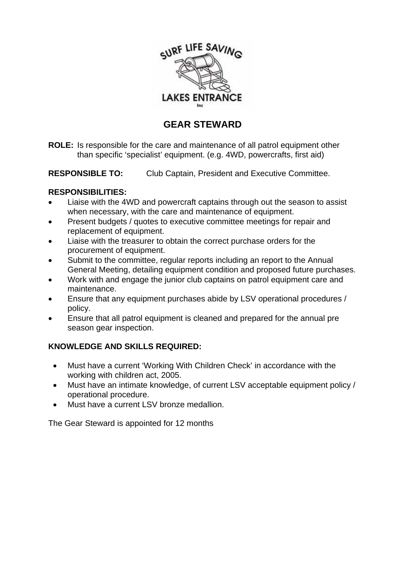

# **GEAR STEWARD**

**ROLE:** Is responsible for the care and maintenance of all patrol equipment other than specific 'specialist' equipment. (e.g. 4WD, powercrafts, first aid)

**RESPONSIBLE TO:** Club Captain, President and Executive Committee.

#### **RESPONSIBILITIES:**

- Liaise with the 4WD and powercraft captains through out the season to assist when necessary, with the care and maintenance of equipment.
- Present budgets / quotes to executive committee meetings for repair and replacement of equipment.
- Liaise with the treasurer to obtain the correct purchase orders for the procurement of equipment.
- Submit to the committee, regular reports including an report to the Annual General Meeting, detailing equipment condition and proposed future purchases.
- Work with and engage the junior club captains on patrol equipment care and maintenance.
- Ensure that any equipment purchases abide by LSV operational procedures / policy.
- Ensure that all patrol equipment is cleaned and prepared for the annual pre season gear inspection.

### **KNOWLEDGE AND SKILLS REQUIRED:**

- Must have a current 'Working With Children Check' in accordance with the working with children act, 2005.
- Must have an intimate knowledge, of current LSV acceptable equipment policy / operational procedure.
- Must have a current LSV bronze medallion.

The Gear Steward is appointed for 12 months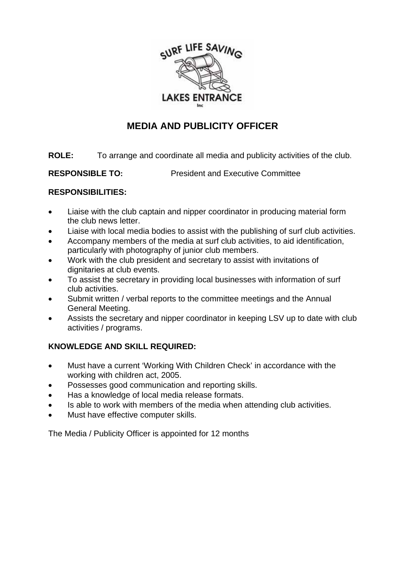

# **MEDIA AND PUBLICITY OFFICER**

**ROLE:** To arrange and coordinate all media and publicity activities of the club.

**RESPONSIBLE TO:** President and Executive Committee

### **RESPONSIBILITIES:**

- Liaise with the club captain and nipper coordinator in producing material form the club news letter.
- Liaise with local media bodies to assist with the publishing of surf club activities.
- Accompany members of the media at surf club activities, to aid identification, particularly with photography of junior club members.
- Work with the club president and secretary to assist with invitations of dignitaries at club events.
- To assist the secretary in providing local businesses with information of surf club activities.
- Submit written / verbal reports to the committee meetings and the Annual General Meeting.
- Assists the secretary and nipper coordinator in keeping LSV up to date with club activities / programs.

## **KNOWLEDGE AND SKILL REQUIRED:**

- Must have a current 'Working With Children Check' in accordance with the working with children act, 2005.
- Possesses good communication and reporting skills.
- Has a knowledge of local media release formats.
- Is able to work with members of the media when attending club activities.
- Must have effective computer skills.

The Media / Publicity Officer is appointed for 12 months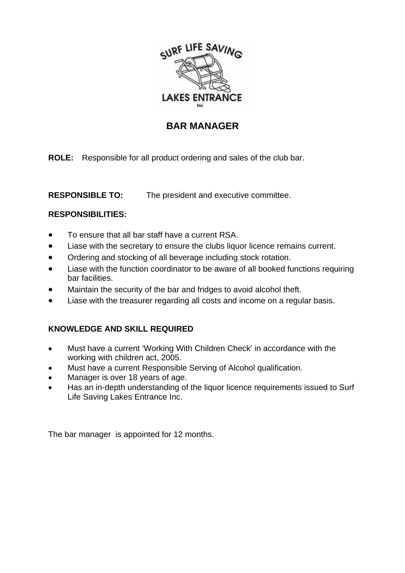

## **BAR MANAGER**

**ROLE:** Responsible for all product ordering and sales of the club bar.

**RESPONSIBLE TO:** The president and executive committee.

### **RESPONSIBILITIES:**

- To ensure that all bar staff have a current RSA.
- Liase with the secretary to ensure the clubs liquor licence remains current.
- Ordering and stocking of all beverage including stock rotation.
- Liase with the function coordinator to be aware of all booked functions requiring bar facilities.
- Maintain the security of the bar and fridges to avoid alcohol theft.
- Liase with the treasurer regarding all costs and income on a regular basis.

## **KNOWLEDGE AND SKILL REQUIRED**

- Must have a current 'Working With Children Check' in accordance with the working with children act, 2005.
- Must have a current Responsible Serving of Alcohol qualification.
- Manager is over 18 years of age.
- Has an in-depth understanding of the liquor licence requirements issued to Surf Life Saving Lakes Entrance Inc.

The bar manager is appointed for 12 months.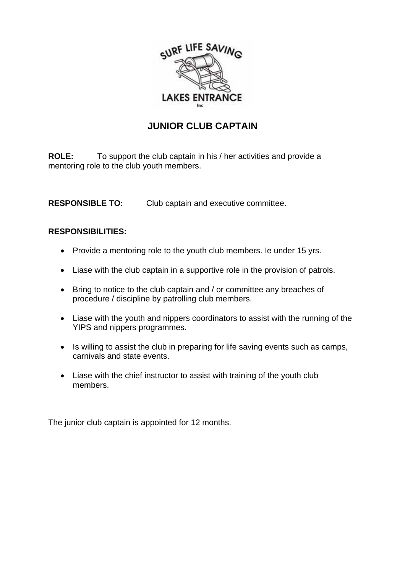

# **JUNIOR CLUB CAPTAIN**

**ROLE:** To support the club captain in his / her activities and provide a mentoring role to the club youth members.

**RESPONSIBLE TO:** Club captain and executive committee.

#### **RESPONSIBILITIES:**

- Provide a mentoring role to the youth club members. Ie under 15 yrs.
- Liase with the club captain in a supportive role in the provision of patrols.
- Bring to notice to the club captain and / or committee any breaches of procedure / discipline by patrolling club members.
- Liase with the youth and nippers coordinators to assist with the running of the YIPS and nippers programmes.
- Is willing to assist the club in preparing for life saving events such as camps, carnivals and state events.
- Liase with the chief instructor to assist with training of the youth club members.

The junior club captain is appointed for 12 months.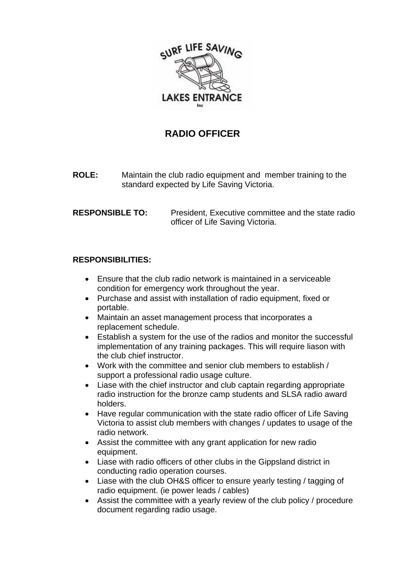

## **RADIO OFFICER**

**ROLE:** Maintain the club radio equipment and member training to the standard expected by Life Saving Victoria.

#### **RESPONSIBLE TO:** President, Executive committee and the state radio officer of Life Saving Victoria.

#### **RESPONSIBILITIES:**

- Ensure that the club radio network is maintained in a serviceable condition for emergency work throughout the year.
- Purchase and assist with installation of radio equipment, fixed or portable.
- Maintain an asset management process that incorporates a replacement schedule.
- Establish a system for the use of the radios and monitor the successful implementation of any training packages. This will require liason with the club chief instructor.
- Work with the committee and senior club members to establish / support a professional radio usage culture.
- Liase with the chief instructor and club captain regarding appropriate radio instruction for the bronze camp students and SLSA radio award holders.
- Have regular communication with the state radio officer of Life Saving Victoria to assist club members with changes / updates to usage of the radio network.
- Assist the committee with any grant application for new radio equipment.
- Liase with radio officers of other clubs in the Gippsland district in conducting radio operation courses.
- Liase with the club OH&S officer to ensure yearly testing / tagging of radio equipment. (ie power leads / cables)
- Assist the committee with a yearly review of the club policy / procedure document regarding radio usage.